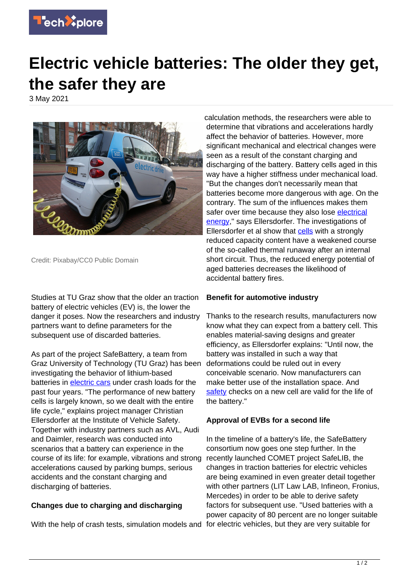

## **Electric vehicle batteries: The older they get, the safer they are**

3 May 2021



Credit: Pixabay/CC0 Public Domain

Studies at TU Graz show that the older an traction battery of electric vehicles (EV) is, the lower the danger it poses. Now the researchers and industry partners want to define parameters for the subsequent use of discarded batteries.

As part of the project SafeBattery, a team from Graz University of Technology (TU Graz) has been investigating the behavior of lithium-based batteries in [electric cars](https://techxplore.com/tags/electric+cars/) under crash loads for the past four years. "The performance of new battery cells is largely known, so we dealt with the entire life cycle," explains project manager Christian Ellersdorfer at the Institute of Vehicle Safety. Together with industry partners such as AVL, Audi and Daimler, research was conducted into scenarios that a battery can experience in the course of its life: for example, vibrations and strong accelerations caused by parking bumps, serious accidents and the constant charging and discharging of batteries.

## **Changes due to charging and discharging**

With the help of crash tests, simulation models and for electric vehicles, but they are very suitable for

calculation methods, the researchers were able to determine that vibrations and accelerations hardly affect the behavior of batteries. However, more significant mechanical and electrical changes were seen as a result of the constant charging and discharging of the battery. Battery cells aged in this way have a higher stiffness under mechanical load. "But the changes don't necessarily mean that batteries become more dangerous with age. On the contrary. The sum of the influences makes them safer over time because they also lose [electrical](https://techxplore.com/tags/electrical+energy/) [energy](https://techxplore.com/tags/electrical+energy/)," says Ellersdorfer. The investigations of Ellersdorfer et al show that [cells](https://techxplore.com/tags/cells/) with a strongly reduced capacity content have a weakened course of the so-called thermal runaway after an internal short circuit. Thus, the reduced energy potential of aged batteries decreases the likelihood of accidental battery fires.

## **Benefit for automotive industry**

Thanks to the research results, manufacturers now know what they can expect from a battery cell. This enables material-saving designs and greater efficiency, as Ellersdorfer explains: "Until now, the battery was installed in such a way that deformations could be ruled out in every conceivable scenario. Now manufacturers can make better use of the installation space. And [safety](https://techxplore.com/tags/safety/) checks on a new cell are valid for the life of the battery."

## **Approval of EVBs for a second life**

In the timeline of a battery's life, the SafeBattery consortium now goes one step further. In the recently launched COMET project SafeLIB, the changes in traction batteries for electric vehicles are being examined in even greater detail together with other partners (LIT Law LAB, Infineon, Fronius, Mercedes) in order to be able to derive safety factors for subsequent use. "Used batteries with a power capacity of 80 percent are no longer suitable